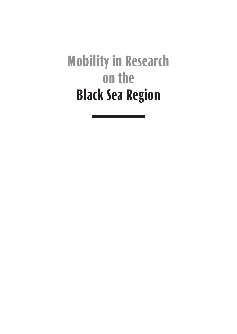**Mobility in Research on the Black Sea Region**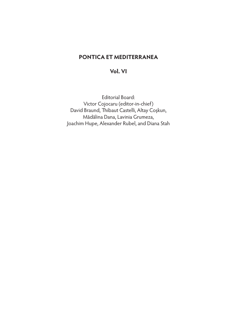# **PONTICA ET MEDITERRANEA**

# **Vol. VI**

Editorial Board: Victor Cojocaru (editor-in-chief) David Braund, Thibaut Castelli, Altay Coşkun, Mădălina Dana, Lavinia Grumeza, Joachim Hupe, Alexander Rubel, and Diana Stah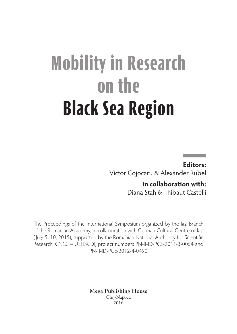# **Mobility in Research on the Black Sea Region**

**Editors:** Victor Cojocaru & Alexander Rubel

> **in collaboration with:**  Diana Stah & Thibaut Castelli

The Proceedings of the International Symposium organized by the Iaşi Branch of the Romanian Academy, in collaboration with German Cultural Centre of Iaşi ( July 5–10, 2015), supported by the Romanian National Authority for Scientific Research, CNCS – UEFISCDI, project numbers PN-II-ID-PCE-2011-3-0054 and PN-II-ID-PCE-2012-4-0490

> **Mega Publishing House** Cluj‑Napoca 2016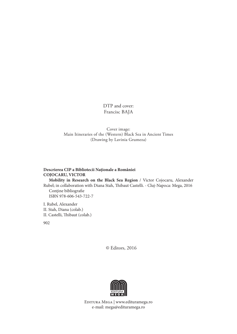DTP and cover: Francisc BAJA

Cover image: Main Itineraries of the (Western) Black Sea in Ancient Times (Drawing by Lavinia Grumeza)

#### **Descrierea CIP a Bibliotecii Naţionale a României COJOCARU, VICTOR**

**Mobility in Research on the Black Sea Region** / Victor Cojocaru, Alexander Rubel; in collaboration with Diana Stah, Thibaut Castelli. - Cluj-Napoca: Mega, 2016 Conține bibliografie ISBN 978-606-543-722-7

I. Rubel, Alexander II. Stah, Diana (colab.) II. Castelli, Thibaut (colab.)

902

© Editors, 2016



Editura Mega | www.edituramega.ro e‑mail: mega@edituramega.ro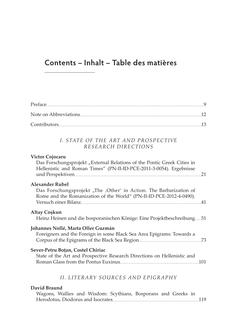# **Contents – Inhalt – Table des matières**

## *I. STATE OF THE ART AND PROSPECTIVE RESEARCH DIRECTIONS*

## **Victor Cojocaru**

| Das Forschungsprojekt "External Relations of the Pontic Greek Cities in<br>Hellenistic and Roman Times" (PN-II-ID-PCE-2011-3-0054). Ergebnisse |  |
|------------------------------------------------------------------------------------------------------------------------------------------------|--|
| <b>Alexander Rubel</b>                                                                                                                         |  |
| Das Forschungsprojekt "The ,Other' in Action. The Barbarization of<br>Rome and the Romanization of the World" (PN-II-ID-PCE-2012-4-0490).      |  |
|                                                                                                                                                |  |
| Altay Coşkun<br>Heinz Heinen und die bosporanischen Könige: Eine Projektbeschreibung51                                                         |  |
| Johannes Nollé, Marta Oller Guzmán                                                                                                             |  |
| Foreigners and the Foreign in some Black Sea Area Epigrams: Towards a                                                                          |  |
| Sever-Petru Boțan, Costel Chiriac                                                                                                              |  |
| State of the Art and Prospective Research Directions on Hellenistic and                                                                        |  |
| II. LITERARY SOURCES AND EPIGRAPHY                                                                                                             |  |

# **David Braund**

|  |  | Wagons, Wallies and Wisdom: Scythians, Bosporans and Greeks in |  |  |
|--|--|----------------------------------------------------------------|--|--|
|  |  |                                                                |  |  |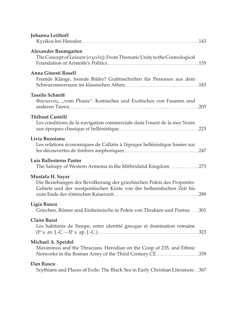| Johanna Leithoff                                                                                                                                                    |
|---------------------------------------------------------------------------------------------------------------------------------------------------------------------|
| Alexander Baumgarten<br>The Concept of Leisure $(\sigma \chi \circ \lambda \eta)$ : From Thematic Unity to the Cosmological                                         |
| <b>Anna Ginestí Rosell</b><br>Fremde Klänge, fremde Bilder? Grabinschriften für Personen aus dem                                                                    |
| Tassilo Schmitt<br>Φασιανός, "vom Phasis". Komisches und Exotisches von Fasanen und                                                                                 |
| <b>Thibaut Castelli</b><br>Les conditions de la navigation commerciale dans l'ouest de la mer Noire                                                                 |
| Livia Buzoianu<br>Les relations économiques de Callatis à l'époque hellénistique basées sur                                                                         |
| Luis Ballesteros Pastor<br>The Satrapy of Western Armenia in the Mithridatid Kingdom 273                                                                            |
| Mustafa H. Sayar<br>Die Beziehungen der Bevölkerung der griechischen Poleis des Propontis-<br>Gebiets und der westpontischen Küste von der hellenistischen Zeit bis |
| Ligia Ruscu<br>Griechen, Römer und Einheimische in Poleis von Thrakien und Pontus  301                                                                              |
| <b>Claire Barat</b><br>Les habitants de Sinope, entre identité grecque et domination romaine                                                                        |
| Michael A. Speidel<br>Maximinus and the Thracians. Herodian on the Coup of 235, and Ethnic<br>Networks in the Roman Army of the Third Century CE339                 |
| Dan Ruscu<br>Scythians and Places of Exile: The Black Sea in Early Christian Literature367                                                                          |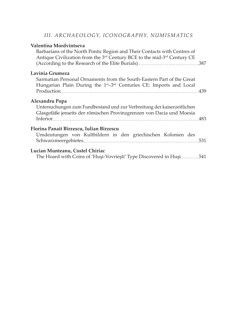## *III. ARCHAEOLOGY, ICONOGRAPHY, NUMISMATICS*

#### **Valentina Mordvintseva**

Barbarians of the North Pontic Region and Their Contacts with Centres of Antique Civilization from the 3rd Century BCE to the mid-3rd Century CE (According to the Research of the Elite Burials) 387

#### **Lavinia Grumeza**

| Sarmatian Personal Ornaments from the South-Eastern Part of the Great                       |  |
|---------------------------------------------------------------------------------------------|--|
| Hungarian Plain During the 1 <sup>st</sup> -3 <sup>rd</sup> Centuries CE: Imports and Local |  |
|                                                                                             |  |

#### **Alexandru Popa**

Untersuchungen zum Fundbestand und zur Verbreitung der kaiserzeitlichen Glasgefäße jenseits der römischen Provinzgrenzen von Dacia und Moesia Inferior 483

#### **Florina Panait Bîrzescu, Iulian Bîrzescu**

| Umdeutungen von Kultbildern in den griechischen Kolonien des |  |  |  |  |  |  |  |  |
|--------------------------------------------------------------|--|--|--|--|--|--|--|--|
|                                                              |  |  |  |  |  |  |  |  |

#### **Lucian Munteanu, Costel Chiriac**

The Hoard with Coins of 'Huşi-Vovrieşti' Type Discovered in Huşi.............541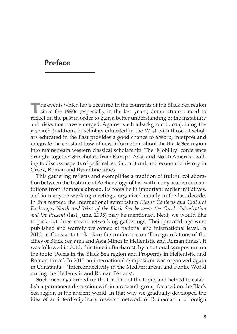# **Preface**

**The events which have occurred in the countries of the Black Sea region** since the 1990s (especially in the last years) demonstrate a need to reflect on the past in order to gain a better understanding of the instability and risks that have emerged. Against such a background, conjoining the research traditions of scholars educated in the West with those of scholars educated in the East provides a good chance to absorb, interpret and integrate the constant flow of new information about the Black Sea region into mainstream western classical scholarship. The 'Mobility' conference brought together 35 scholars from Europe, Asia, and North America, willing to discuss aspects of political, social, cultural, and economic history in Greek, Roman and Byzantine times.

This gathering reflects and exemplifies a tradition of fruitful collaboration between the Institute of Archaeology of Iasi with many academic institutions from Romania abroad. Its roots lie in important earlier initiatives, and in many networking meetings, organized mainly in the last decade. In this respect, the international symposium *Ethnic Contacts and Cultural Exchanges North and West of the Black Sea between the Greek Colonization and the Present* (Iasi, June, 2005) may be mentioned. Next, we would like to pick out three recent networking gatherings. Their proceedings were published and warmly welcomed at national and international level. In 2010, at Constanta took place the conference on 'Foreign relations of the cities of Black Sea area and Asia Minor in Hellenistic and Roman times'. It was followed in 2012, this time in Bucharest, by a national symposium on the topic 'Poleis in the Black Sea region and Propontis in Hellenistic and Roman times'. In 2013 an international symposium was organized again in Constanta – 'Interconnectivity in the Mediterranean and Pontic World during the Hellenistic and Roman Periods'.

Such meetings firmed up the timeline of the topic, and helped to establish a permanent discussion within a research group focused on the Black Sea region in the ancient world. In that way we gradually developed the idea of an interdisciplinary research network of Romanian and foreign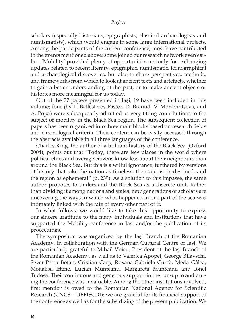#### *Preface*

scholars (especially historians, epigraphists, classical archaeologists and numismatists), which would engage in some large international projects. Among the participants of the current conference, most have contributed to the events mentioned above; some joined our research network even earlier. 'Mobility' provided plenty of opportunities not only for exchanging updates related to recent literary, epigraphic, numismatic, iconographical and archaeological discoveries, but also to share perspectives, methods, and frameworks from which to look at ancient texts and artefacts, whether to gain a better understanding of the past, or to make ancient objects or histories more meaningful for us today.

Out of the 27 papers presented in Iaşi, 19 have been included in this volume; four (by L. Ballesteros Pastor, D. Braund, V. Mordvintseva, and A. Popa) were subsequently admitted as very fitting contributions to the subject of mobility in the Black Sea region. The subsequent collection of papers has been organized into three main blocks based on research fields and chronological criteria. Their content can be easily accessed through the abstracts available in all three languages of the conference.

Charles King, the author of a brilliant history of the Black Sea (Oxford 2004), points out that "Today, there are few places in the world where political elites and average citizens know less about their neighbours than around the Black Sea. But this is a wilful ignorance, furthered by versions of history that take the nation as timeless, the state as predestined, and the region as ephemeral" (p. 239). As a solution to this impasse, the same author proposes to understand the Black Sea as a discrete unit. Rather than dividing it among nations and states, new generations of scholars are uncovering the ways in which what happened in one part of the sea was intimately linked with the fate of every other part of it.

In what follows, we would like to take this opportunity to express our sincere gratitude to the many individuals and institutions that have supported the Mobility conference in Iaşi and/or the publication of its proceedings.

The symposium was organized by the Iaşi Branch of the Romanian Academy, in collaboration with the German Cultural Centre of Iaşi. We are particularly grateful to Mihail Voicu, President of the Iaşi Branch of the Romanian Academy, as well as to Valerica Apopei, George Bilavschi, Sever-Petru Boţan, Cristian Carp, Roxana-Gabriela Curcă, Meda Gâlea, Monalisa Iftene, Lucian Munteanu, Margareta Munteanu and Ionel Tudosă. Their continuous and generous support in the run-up to and during the conference was invaluable. Among the other institutions involved, first mention is owed to the Romanian National Agency for Scientific Research (CNCS – UEFISCDI): we are grateful for its financial support of the conference as well as for the subsidizing of the present publication. We